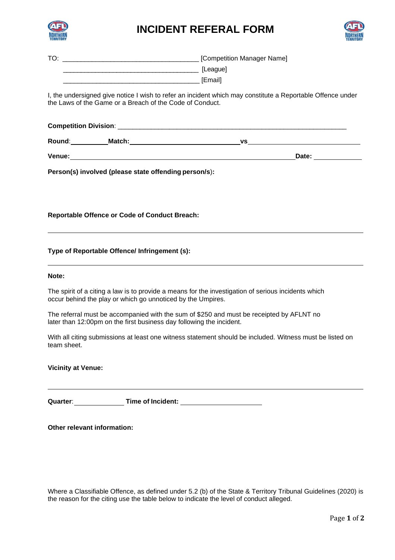

## **INCIDENT REFERAL FORM**



| TO: | [Competition Manager Name] |
|-----|----------------------------|
|     | [League]                   |
|     | <b>[Email]</b>             |

I, the undersigned give notice I wish to refer an incident which may constitute a Reportable Offence under the Laws of the Game or a Breach of the Code of Conduct.

| <b>Competition Division:</b> |        |       |  |
|------------------------------|--------|-------|--|
| Round:                       | Match: | VS    |  |
| Venue:                       |        | Date: |  |

**Person(s) involved (please state offending person/s**)**:**

**Reportable Offence or Code of Conduct Breach:**

## **Type of Reportable Offence/ Infringement (s):**

## **Note:**

The spirit of a citing a law is to provide a means for the investigation of serious incidents which occur behind the play or which go unnoticed by the Umpires.

The referral must be accompanied with the sum of \$250 and must be receipted by AFLNT no later than 12:00pm on the first business day following the incident.

With all citing submissions at least one witness statement should be included. Witness must be listed on team sheet.

**Vicinity at Venue:**

**Quarter**: **Time of Incident:**

**Other relevant information:**

Where a Classifiable Offence, as defined under 5.2 (b) of the State & Territory Tribunal Guidelines (2020) is the reason for the citing use the table below to indicate the level of conduct alleged.